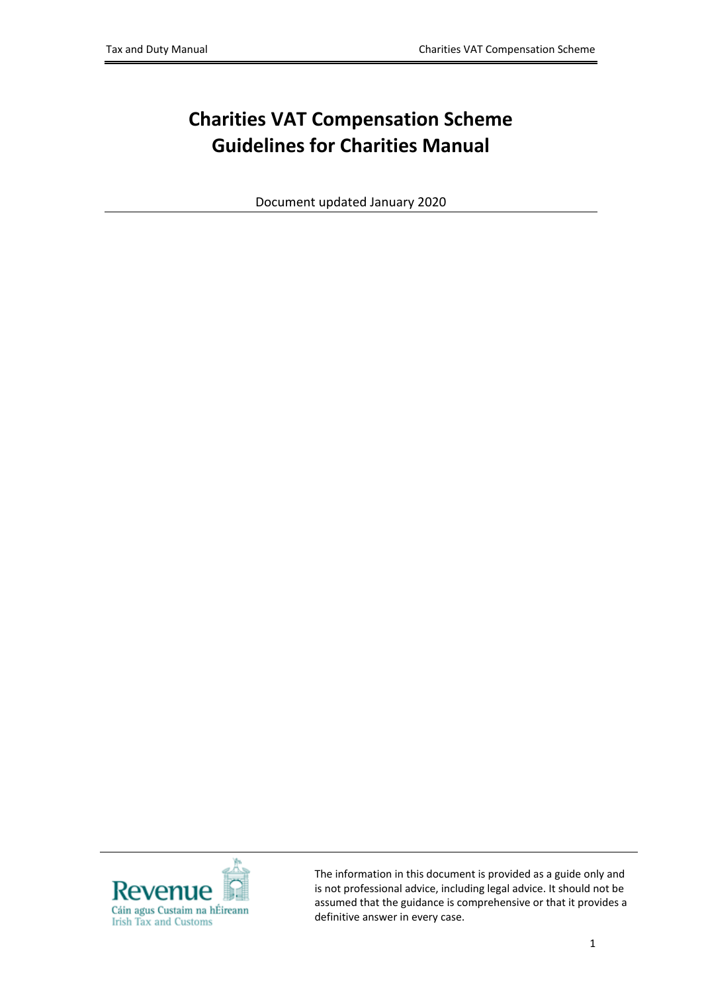# **Charities VAT Compensation Scheme Guidelines for Charities Manual**

Document updated January 2020



The information in this document is provided as a guide only and is not professional advice, including legal advice. It should not be assumed that the guidance is comprehensive or that it provides a definitive answer in every case.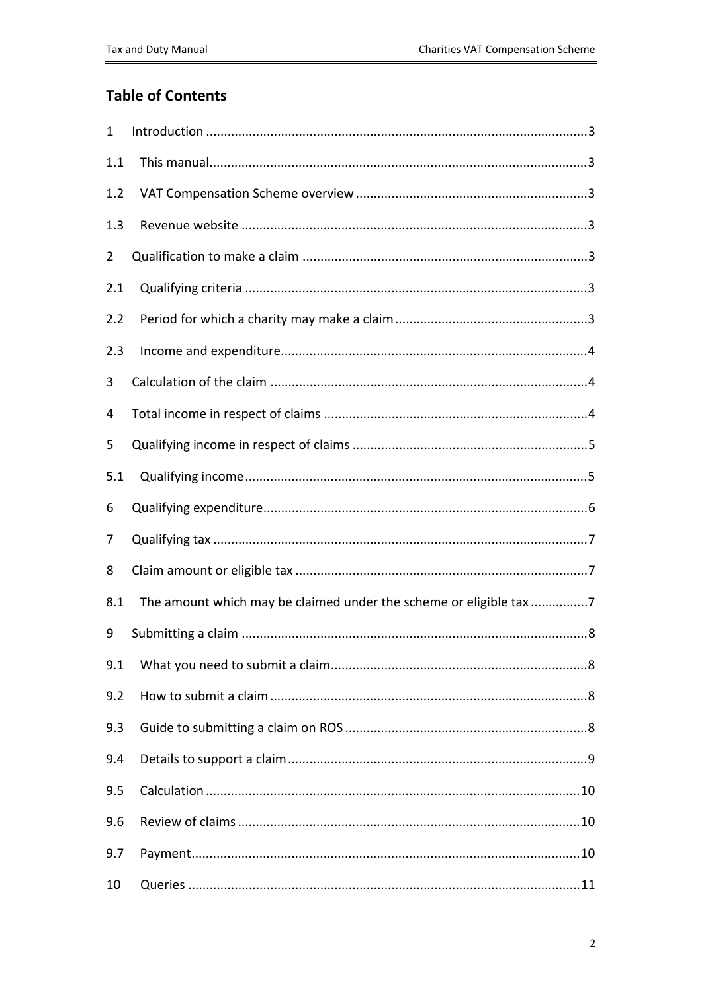### **Table of Contents**

| 1              |                                                                   |
|----------------|-------------------------------------------------------------------|
| 1.1            |                                                                   |
| 1.2            |                                                                   |
| 1.3            |                                                                   |
| $\overline{2}$ |                                                                   |
| 2.1            |                                                                   |
| 2.2            |                                                                   |
| 2.3            |                                                                   |
| 3              |                                                                   |
| 4              |                                                                   |
| 5              |                                                                   |
| 5.1            |                                                                   |
| 6              |                                                                   |
| 7              |                                                                   |
| 8              |                                                                   |
| 8.1            | The amount which may be claimed under the scheme or eligible tax7 |
| 9              |                                                                   |
| 9.1            |                                                                   |
| 9.2            |                                                                   |
| 9.3            |                                                                   |
| 9.4            |                                                                   |
| 9.5            |                                                                   |
| 9.6            |                                                                   |
| 9.7            |                                                                   |
| 10             |                                                                   |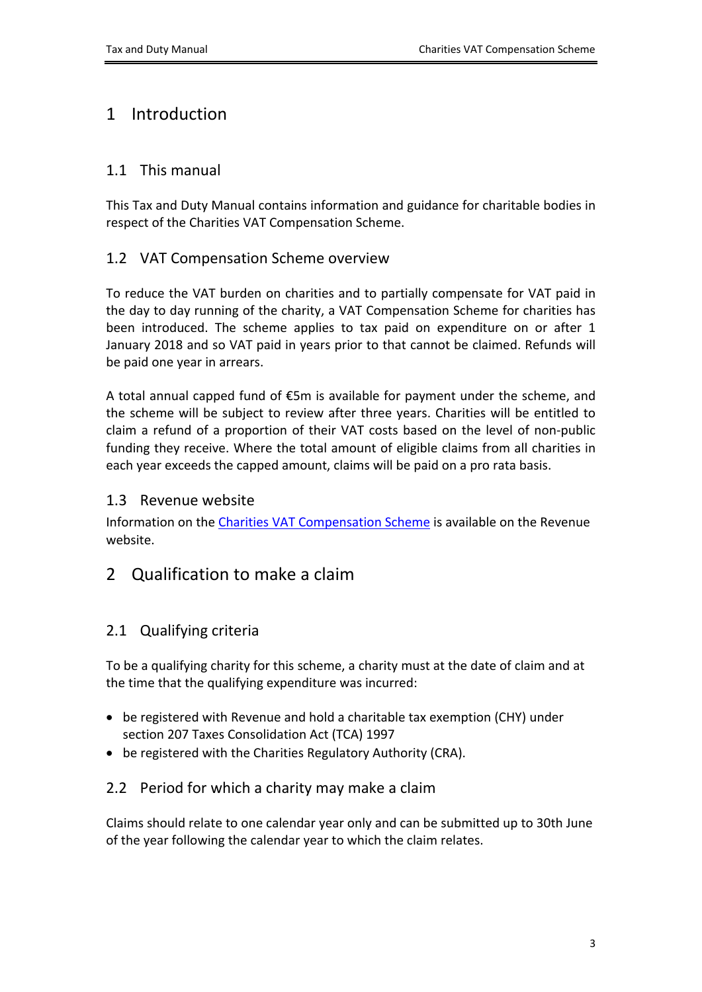# <span id="page-2-0"></span>1 Introduction

### <span id="page-2-1"></span>1.1 This manual

This Tax and Duty Manual contains information and guidance for charitable bodies in respect of the Charities VAT Compensation Scheme.

### <span id="page-2-2"></span>1.2 VAT Compensation Scheme overview

To reduce the VAT burden on charities and to partially compensate for VAT paid in the day to day running of the charity, a VAT Compensation Scheme for charities has been introduced. The scheme applies to tax paid on expenditure on or after 1 January 2018 and so VAT paid in years prior to that cannot be claimed. Refunds will be paid one year in arrears.

A total annual capped fund of  $\epsilon$ 5m is available for payment under the scheme, and the scheme will be subject to review after three years. Charities will be entitled to claim a refund of a proportion of their VAT costs based on the level of non-public funding they receive. Where the total amount of eligible claims from all charities in each year exceeds the capped amount, claims will be paid on a pro rata basis.

### <span id="page-2-3"></span>1.3 Revenue website

Information on the [Charities](https://www.revenue.ie/en/companies-and-charities/charities-and-sports-bodies/vat-compensation-scheme/index.aspx) [VAT](https://www.revenue.ie/en/companies-and-charities/charities-and-sports-bodies/vat-compensation-scheme/index.aspx) [Compensation](https://www.revenue.ie/en/companies-and-charities/charities-and-sports-bodies/vat-compensation-scheme/index.aspx) [Scheme](https://www.revenue.ie/en/companies-and-charities/charities-and-sports-bodies/vat-compensation-scheme/index.aspx) is available on the Revenue website.

### <span id="page-2-4"></span>2 Qualification to make a claim

### <span id="page-2-5"></span>2.1 Qualifying criteria

To be a qualifying charity for this scheme, a charity must at the date of claim and at the time that the qualifying expenditure was incurred:

- be registered with Revenue and hold a charitable tax exemption (CHY) under section 207 Taxes Consolidation Act (TCA) 1997
- be registered with the Charities Regulatory Authority (CRA).

### <span id="page-2-6"></span>2.2 Period for which a charity may make a claim

Claims should relate to one calendar year only and can be submitted up to 30th June of the year following the calendar year to which the claim relates.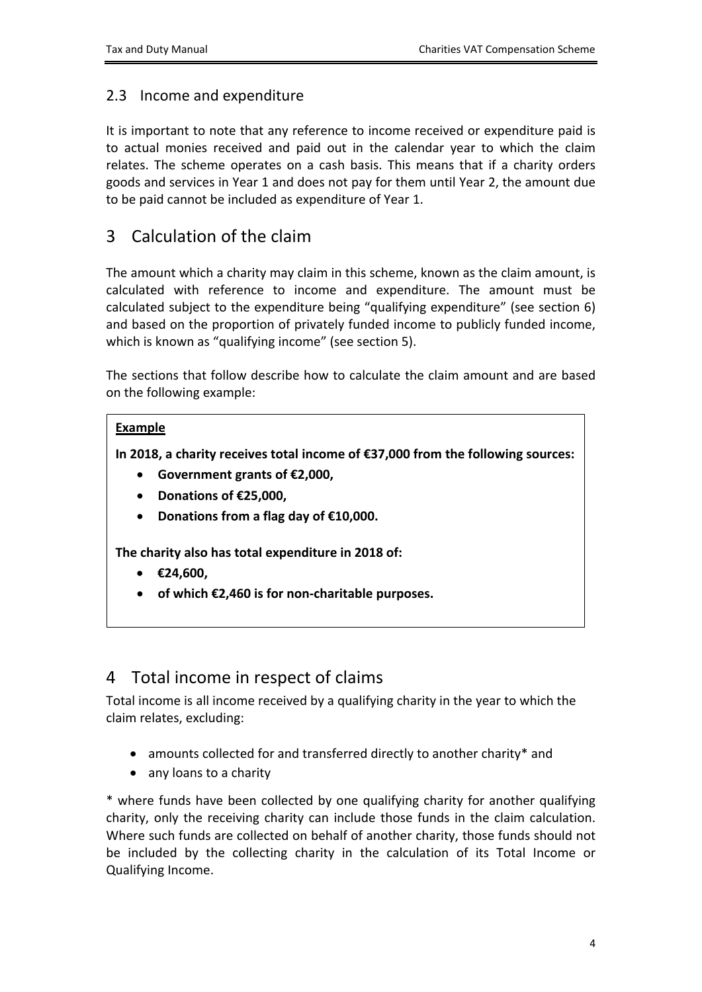### <span id="page-3-0"></span>2.3 Income and expenditure

It is important to note that any reference to income received or expenditure paid is to actual monies received and paid out in the calendar year to which the claim relates. The scheme operates on a cash basis. This means that if a charity orders goods and services in Year 1 and does not pay for them until Year 2, the amount due to be paid cannot be included as expenditure of Year 1.

# <span id="page-3-1"></span>3 Calculation of the claim

The amount which a charity may claim in this scheme, known as the claim amount, is calculated with reference to income and expenditure. The amount must be calculated subject to the expenditure being "qualifying expenditure" (see section 6) and based on the proportion of privately funded income to publicly funded income, which is known as "qualifying income" (see section 5).

The sections that follow describe how to calculate the claim amount and are based on the following example:

### **Example**

**In 2018, a charity receives total income of €37,000 from the following sources:**

- **Government grants of €2,000,**
- **Donations of €25,000,**
- **Donations from a flag day of €10,000.**

**The charity also has total expenditure in 2018 of:**

- **€24,600,**
- **of which €2,460 is for non-charitable purposes.**

# <span id="page-3-2"></span>4 Total income in respect of claims

Total income is all income received by a qualifying charity in the year to which the claim relates, excluding:

- amounts collected for and transferred directly to another charity\* and
- any loans to a charity

\* where funds have been collected by one qualifying charity for another qualifying charity, only the receiving charity can include those funds in the claim calculation. Where such funds are collected on behalf of another charity, those funds should not be included by the collecting charity in the calculation of its Total Income or Qualifying Income.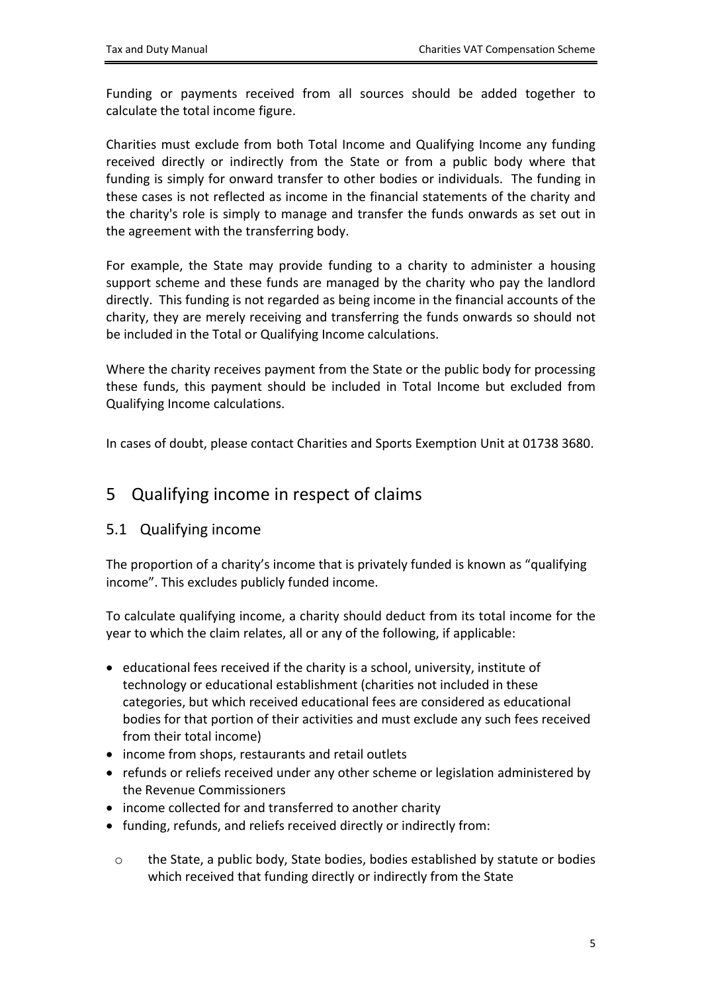Funding or payments received from all sources should be added together to calculate the total income figure.

Charities must exclude from both Total Income and Qualifying Income any funding received directly or indirectly from the State or from a public body where that funding is simply for onward transfer to other bodies or individuals. The funding in these cases is not reflected as income in the financial statements of the charity and the charity's role is simply to manage and transfer the funds onwards as set out in the agreement with the transferring body.

For example, the State may provide funding to a charity to administer a housing support scheme and these funds are managed by the charity who pay the landlord directly. This funding is not regarded as being income in the financial accounts of the charity, they are merely receiving and transferring the funds onwards so should not be included in the Total or Qualifying Income calculations.

Where the charity receives payment from the State or the public body for processing these funds, this payment should be included in Total Income but excluded from Qualifying Income calculations.

In cases of doubt, please contact Charities and Sports Exemption Unit at 01738 3680.

### <span id="page-4-0"></span>5 Qualifying income in respect of claims

### <span id="page-4-1"></span>5.1 Qualifying income

The proportion of a charity's income that is privately funded is known as "qualifying income". This excludes publicly funded income.

To calculate qualifying income, a charity should deduct from its total income for the year to which the claim relates, all or any of the following, if applicable:

- educational fees received if the charity is a school, university, institute of technology or educational establishment (charities not included in these categories, but which received educational fees are considered as educational bodies for that portion of their activities and must exclude any such fees received from their total income)
- income from shops, restaurants and retail outlets
- refunds or reliefs received under any other scheme or legislation administered by the Revenue Commissioners
- income collected for and transferred to another charity
- funding, refunds, and reliefs received directly or indirectly from:
	- o the State, a public body, State bodies, bodies established by statute or bodies which received that funding directly or indirectly from the State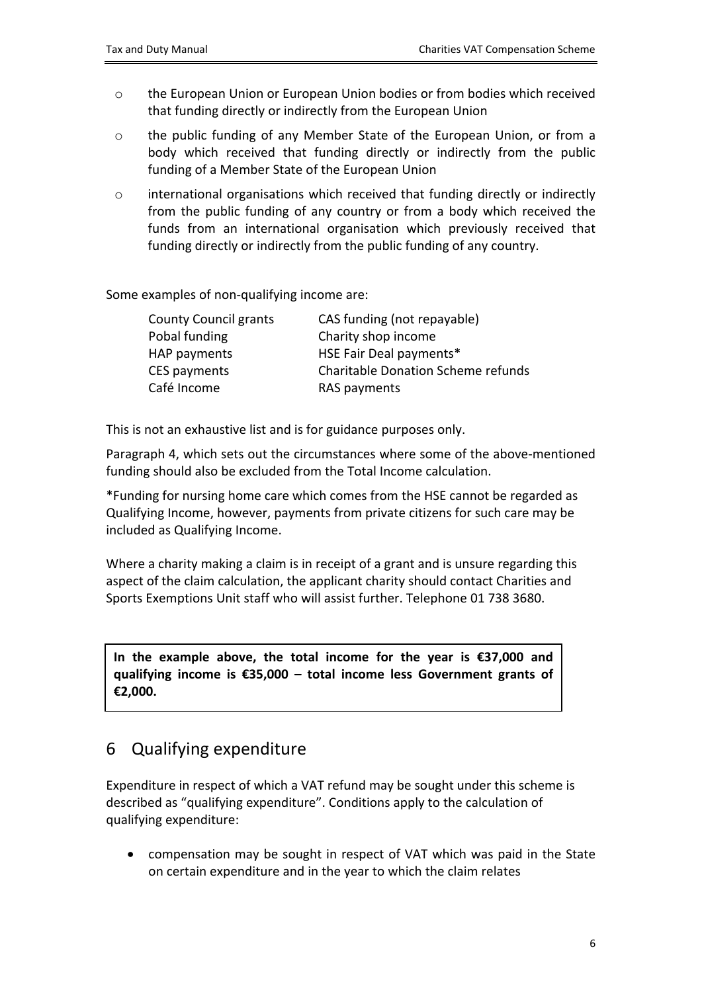- o the European Union or European Union bodies or from bodies which received that funding directly or indirectly from the European Union
- o the public funding of any Member State of the European Union, or from a body which received that funding directly or indirectly from the public funding of a Member State of the European Union
- o international organisations which received that funding directly or indirectly from the public funding of any country or from a body which received the funds from an international organisation which previously received that funding directly or indirectly from the public funding of any country.

Some examples of non-qualifying income are:

| <b>County Council grants</b> | CAS funding (not repayable)               |
|------------------------------|-------------------------------------------|
| Pobal funding                | Charity shop income                       |
| HAP payments                 | HSE Fair Deal payments*                   |
| CES payments                 | <b>Charitable Donation Scheme refunds</b> |
| Café Income                  | RAS payments                              |

This is not an exhaustive list and is for guidance purposes only.

Paragraph 4, which sets out the circumstances where some of the above-mentioned funding should also be excluded from the Total Income calculation.

\*Funding for nursing home care which comes from the HSE cannot be regarded as Qualifying Income, however, payments from private citizens for such care may be included as Qualifying Income.

Where a charity making a claim is in receipt of a grant and is unsure regarding this aspect of the claim calculation, the applicant charity should contact Charities and Sports Exemptions Unit staff who will assist further. Telephone 01 738 3680.

**In the example above, the total income for the year is €37,000 and qualifying income is €35,000 – total income less Government grants of €2,000.**

# <span id="page-5-0"></span>6 Qualifying expenditure

Expenditure in respect of which a VAT refund may be sought under this scheme is described as "qualifying expenditure". Conditions apply to the calculation of qualifying expenditure:

 compensation may be sought in respect of VAT which was paid in the State on certain expenditure and in the year to which the claim relates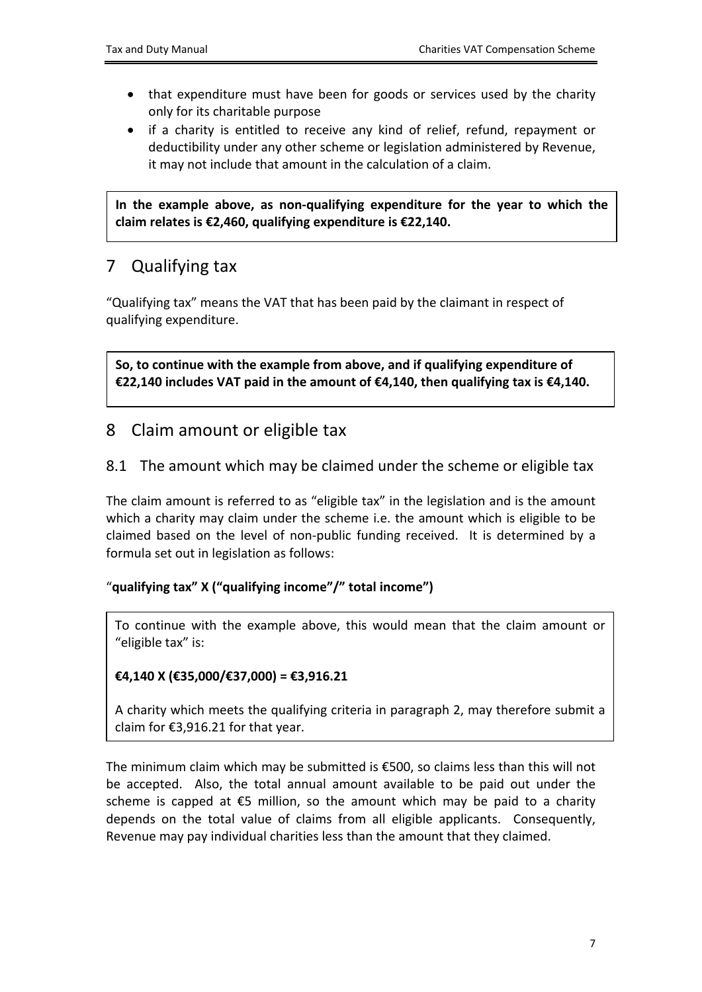- that expenditure must have been for goods or services used by the charity only for its charitable purpose
- if a charity is entitled to receive any kind of relief, refund, repayment or deductibility under any other scheme or legislation administered by Revenue, it may not include that amount in the calculation of a claim.

**In the example above, as non-qualifying expenditure for the year to which the claim relates is €2,460, qualifying expenditure is €22,140.**

# <span id="page-6-0"></span>7 Qualifying tax

"Qualifying tax" means the VAT that has been paid by the claimant in respect of qualifying expenditure.

**So, to continue with the example from above, and if qualifying expenditure of €22,140 includes VAT paid in the amount of €4,140, then qualifying tax is €4,140.**

### <span id="page-6-1"></span>8 Claim amount or eligible tax

### <span id="page-6-2"></span>8.1 The amount which may be claimed under the scheme or eligible tax

The claim amount is referred to as "eligible tax" in the legislation and is the amount which a charity may claim under the scheme i.e. the amount which is eligible to be claimed based on the level of non-public funding received. It is determined by a formula set out in legislation as follows:

#### "**qualifying tax" X ("qualifying income"/" total income")**

To continue with the example above, this would mean that the claim amount or "eligible tax" is:

### **€4,140 X (€35,000/€37,000) = €3,916.21**

A charity which meets the qualifying criteria in paragraph 2, may therefore submit a claim for €3,916.21 for that year.

The minimum claim which may be submitted is €500, so claims less than this will not be accepted. Also, the total annual amount available to be paid out under the scheme is capped at  $\epsilon$ 5 million, so the amount which may be paid to a charity depends on the total value of claims from all eligible applicants. Consequently, Revenue may pay individual charities less than the amount that they claimed.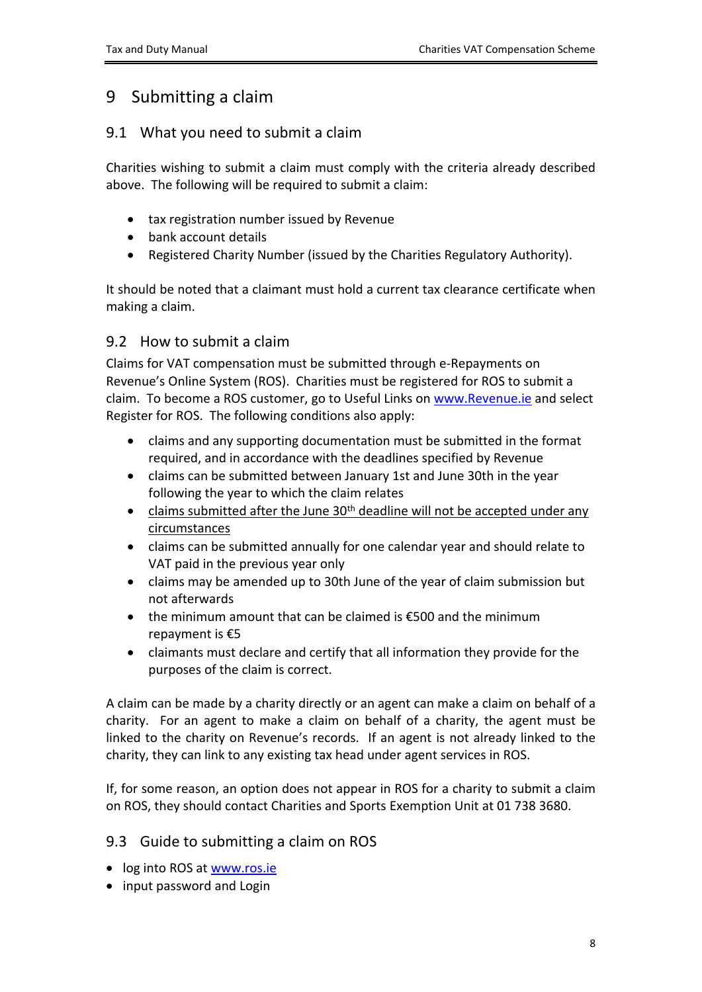## <span id="page-7-0"></span>9 Submitting a claim

### <span id="page-7-1"></span>9.1 What you need to submit a claim

Charities wishing to submit a claim must comply with the criteria already described above. The following will be required to submit a claim:

- tax registration number issued by Revenue
- bank account details
- Registered Charity Number (issued by the Charities Regulatory Authority).

It should be noted that a claimant must hold a current tax clearance certificate when making a claim.

### <span id="page-7-2"></span>9.2 How to submit a claim

Claims for VAT compensation must be submitted through e-Repayments on Revenue's Online System (ROS). Charities must be registered for ROS to submit a claim. To become a ROS customer, go to Useful Links on [www.Revenue.ie](http://www.Revenue.ie) and select Register for ROS. The following conditions also apply:

- claims and any supporting documentation must be submitted in the format required, and in accordance with the deadlines specified by Revenue
- claims can be submitted between January 1st and June 30th in the year following the year to which the claim relates
- claims submitted after the June  $30<sup>th</sup>$  deadline will not be accepted under any circumstances
- claims can be submitted annually for one calendar year and should relate to VAT paid in the previous year only
- claims may be amended up to 30th June of the year of claim submission but not afterwards
- the minimum amount that can be claimed is €500 and the minimum repayment is €5
- claimants must declare and certify that all information they provide for the purposes of the claim is correct.

A claim can be made by a charity directly or an agent can make a claim on behalf of a charity. For an agent to make a claim on behalf of a charity, the agent must be linked to the charity on Revenue's records. If an agent is not already linked to the charity, they can link to any existing tax head under agent services in ROS.

If, for some reason, an option does not appear in ROS for a charity to submit a claim on ROS, they should contact Charities and Sports Exemption Unit at 01 738 3680.

### <span id="page-7-3"></span>9.3 Guide to submitting a claim on ROS

- log into ROS at [www.ros.ie](http://www.ros.ie)
- input password and Login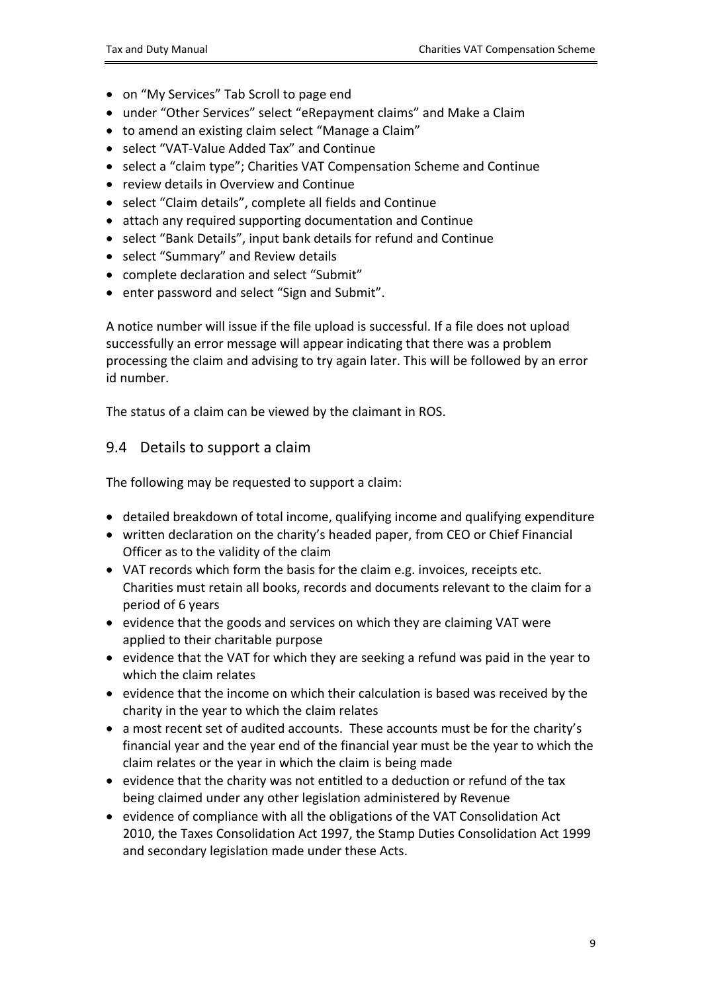- on "My Services" Tab Scroll to page end
- under "Other Services" select "eRepayment claims" and Make a Claim
- to amend an existing claim select "Manage a Claim"
- select "VAT-Value Added Tax" and Continue
- select a "claim type"; Charities VAT Compensation Scheme and Continue
- review details in Overview and Continue
- select "Claim details", complete all fields and Continue
- attach any required supporting documentation and Continue
- select "Bank Details", input bank details for refund and Continue
- select "Summary" and Review details
- complete declaration and select "Submit"
- enter password and select "Sign and Submit".

A notice number will issue if the file upload is successful. If a file does not upload successfully an error message will appear indicating that there was a problem processing the claim and advising to try again later. This will be followed by an error id number.

The status of a claim can be viewed by the claimant in ROS.

#### <span id="page-8-0"></span>9.4 Details to support a claim

The following may be requested to support a claim:

- detailed breakdown of total income, qualifying income and qualifying expenditure
- written declaration on the charity's headed paper, from CEO or Chief Financial Officer as to the validity of the claim
- VAT records which form the basis for the claim e.g. invoices, receipts etc. Charities must retain all books, records and documents relevant to the claim for a period of 6 years
- evidence that the goods and services on which they are claiming VAT were applied to their charitable purpose
- evidence that the VAT for which they are seeking a refund was paid in the year to which the claim relates
- evidence that the income on which their calculation is based was received by the charity in the year to which the claim relates
- a most recent set of audited accounts. These accounts must be for the charity's financial year and the year end of the financial year must be the year to which the claim relates or the year in which the claim is being made
- evidence that the charity was not entitled to a deduction or refund of the tax being claimed under any other legislation administered by Revenue
- evidence of compliance with all the obligations of the VAT Consolidation Act 2010, the Taxes Consolidation Act 1997, the Stamp Duties Consolidation Act 1999 and secondary legislation made under these Acts.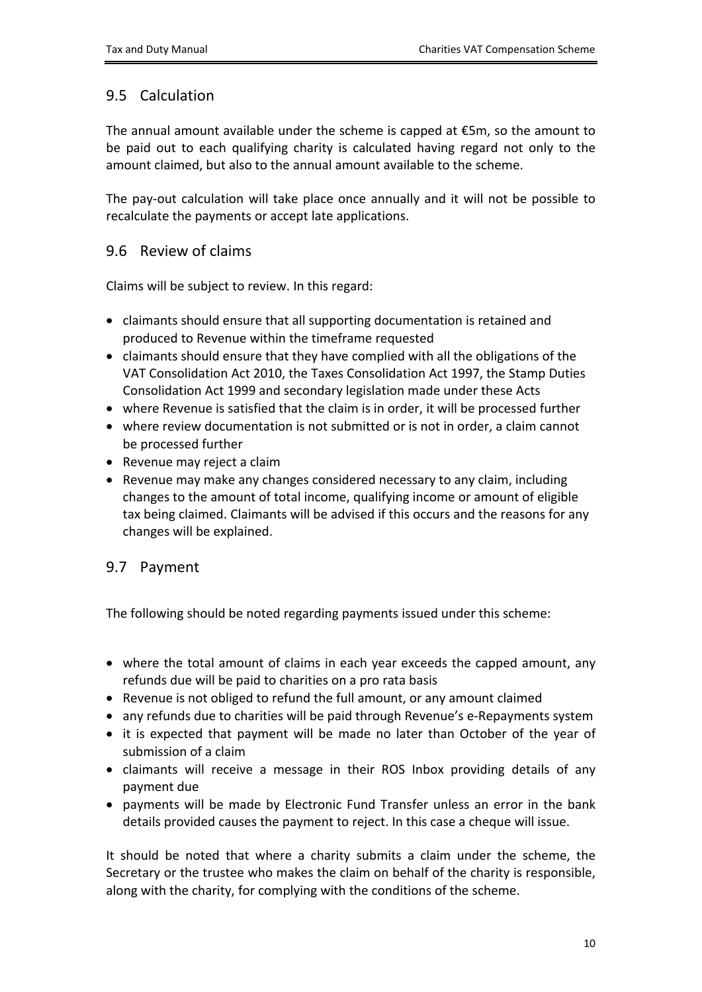### <span id="page-9-0"></span>9.5 Calculation

The annual amount available under the scheme is capped at €5m, so the amount to be paid out to each qualifying charity is calculated having regard not only to the amount claimed, but also to the annual amount available to the scheme.

The pay-out calculation will take place once annually and it will not be possible to recalculate the payments or accept late applications.

#### <span id="page-9-1"></span>9.6 Review of claims

Claims will be subject to review. In this regard:

- claimants should ensure that all supporting documentation is retained and produced to Revenue within the timeframe requested
- $\bullet$  claimants should ensure that they have complied with all the obligations of the VAT Consolidation Act 2010, the Taxes Consolidation Act 1997, the Stamp Duties Consolidation Act 1999 and secondary legislation made under these Acts
- where Revenue is satisfied that the claim is in order, it will be processed further
- where review documentation is not submitted or is not in order, a claim cannot be processed further
- Revenue may reject a claim
- Revenue may make any changes considered necessary to any claim, including changes to the amount of total income, qualifying income or amount of eligible tax being claimed. Claimants will be advised if this occurs and the reasons for any changes will be explained.

### <span id="page-9-2"></span>9.7 Payment

The following should be noted regarding payments issued under this scheme:

- where the total amount of claims in each year exceeds the capped amount, any refunds due will be paid to charities on a pro rata basis
- Revenue is not obliged to refund the full amount, or any amount claimed
- any refunds due to charities will be paid through Revenue's e-Repayments system
- it is expected that payment will be made no later than October of the year of submission of a claim
- claimants will receive a message in their ROS Inbox providing details of any payment due
- payments will be made by Electronic Fund Transfer unless an error in the bank details provided causes the payment to reject. In this case a cheque will issue.

It should be noted that where a charity submits a claim under the scheme, the Secretary or the trustee who makes the claim on behalf of the charity is responsible, along with the charity, for complying with the conditions of the scheme.